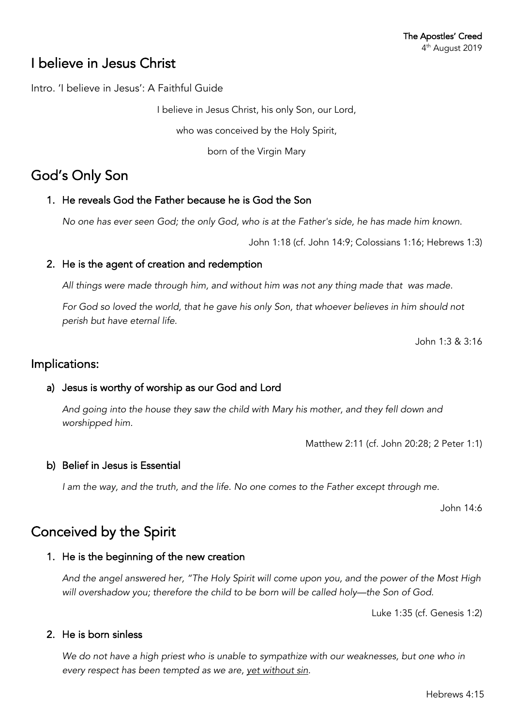# I believe in Jesus Christ

Intro. 'I believe in Jesus': A Faithful Guide

I believe in Jesus Christ, his only Son, our Lord,

who was conceived by the Holy Spirit,

born of the Virgin Mary

# God's Only Son

## 1. He reveals God the Father because he is God the Son

*No one has ever seen God; the only God, who is at the Father's side, he has made him known.*

John 1:18 (cf. John 14:9; Colossians 1:16; Hebrews 1:3)

## 2. He is the agent of creation and redemption

*All things were made through him, and without him was not any thing made that was made.*

*For God so loved the world, that he gave his only Son, that whoever believes in him should not perish but have eternal life.*

John 1:3 & 3:16

## Implications:

## a) Jesus is worthy of worship as our God and Lord

*And going into the house they saw the child with Mary his mother, and they fell down and worshipped him.*

Matthew 2:11 (cf. John 20:28; 2 Peter 1:1)

### b) Belief in Jesus is Essential

*I am the way, and the truth, and the life. No one comes to the Father except through me.*

John 14:6

# Conceived by the Spirit

### 1. He is the beginning of the new creation

*And the angel answered her, "The Holy Spirit will come upon you, and the power of the Most High will overshadow you; therefore the child to be born will be called holy—the Son of God.*

Luke 1:35 (cf. Genesis 1:2)

### 2. He is born sinless

We do not have a high priest who is unable to sympathize with our weaknesses, but one who in *every respect has been tempted as we are, yet without sin.*